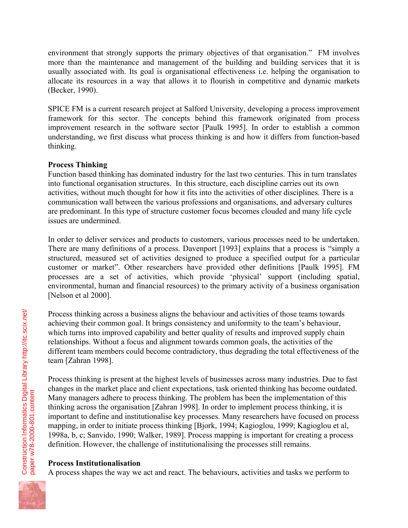environment that strongly supports the primary objectives of that organisation." FM involves more than the maintenance and management of the building and building services that it is usually associated with. Its goal is organisational effectiveness i.e. helping the organisation to allocate its resources in a way that allows it to flourish in competitive and dynamic markets (Becker, 1990).

SPICE FM is a current research project at Salford University, developing a process improvement framework for this sector. The concepts behind this framework originated from process improvement research in the software sector [Paulk 1995]. In order to establish a common understanding, we first discuss what process thinking is and how it differs from function-based thinking.

## **Process Thinking**

Function based thinking has dominated industry for the last two centuries. This in turn translates into functional organisation structures. In this structure, each discipline carries out its own activities, without much thought for how it fits into the activities of other disciplines. There is a communication wall between the various professions and organisations, and adversary cultures are predominant. In this type of structure customer focus becomes clouded and many life cycle issues are undermined.

In order to deliver services and products to customers, various processes need to be undertaken. There are many definitions of a process. Davenport [1993] explains that a process is "simply a structured, measured set of activities designed to produce a specified output for a particular customer or market". Other researchers have provided other definitions [Paulk 1995]. FM processes are a set of activities, which provide 'physical' support (including spatial, environmental, human and financial resources) to the primary activity of a business organisation [Nelson et al 2000].

Process thinking across a business aligns the behaviour and activities of those teams towards achieving their common goal. It brings consistency and uniformity to the team's behaviour, which turns into improved capability and better quality of results and improved supply chain relationships. Without a focus and alignment towards common goals, the activities of the different team members could become contradictory, thus degrading the total effectiveness of the team [Zahran 1998].

Process thinking is present at the highest levels of businesses across many industries. Due to fast changes in the market place and client expectations, task oriented thinking has become outdated. Many managers adhere to process thinking. The problem has been the implementation of this thinking across the organisation [Zahran 1998]. In order to implement process thinking, it is important to define and institutionalise key processes. Many researchers have focused on process mapping, in order to initiate process thinking [Bjork, 1994; Kagioglou, 1999; Kagioglou et al, 1998a, b, c; Sanvido, 1990; Walker, 1989]. Process mapping is important for creating a process definition. However, the challenge of institutionalising the processes still remains.

# **Process Institutionalisation**

A process shapes the way we act and react. The behaviours, activities and tasks we perform to

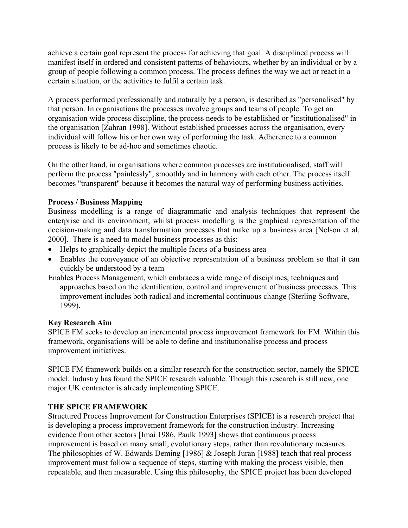achieve a certain goal represent the process for achieving that goal. A disciplined process will manifest itself in ordered and consistent patterns of behaviours, whether by an individual or by a group of people following a common process. The process defines the way we act or react in a certain situation, or the activities to fulfil a certain task.

A process performed professionally and naturally by a person, is described as "personalised" by that person. In organisations the processes involve groups and teams of people. To get an organisation wide process discipline, the process needs to be established or "institutionalised" in the organisation [Zahran 1998]. Without established processes across the organisation, every individual will follow his or her own way of performing the task. Adherence to a common process is likely to be ad-hoc and sometimes chaotic.

On the other hand, in organisations where common processes are institutionalised, staff will perform the process "painlessly", smoothly and in harmony with each other. The process itself becomes "transparent" because it becomes the natural way of performing business activities.

## **Process / Business Mapping**

Business modelling is a range of diagrammatic and analysis techniques that represent the enterprise and its environment, whilst process modelling is the graphical representation of the decision-making and data transformation processes that make up a business area [Nelson et al, 2000]. There is a need to model business processes as this:

- Helps to graphically depict the multiple facets of a business area
- Enables the conveyance of an objective representation of a business problem so that it can quickly be understood by a team
- Enables Process Management, which embraces a wide range of disciplines, techniques and approaches based on the identification, control and improvement of business processes. This improvement includes both radical and incremental continuous change (Sterling Software, 1999).

#### **Key Research Aim**

SPICE FM seeks to develop an incremental process improvement framework for FM. Within this framework, organisations will be able to define and institutionalise process and process improvement initiatives.

SPICE FM framework builds on a similar research for the construction sector, namely the SPICE model. Industry has found the SPICE research valuable. Though this research is still new, one major UK contractor is already implementing SPICE.

## **THE SPICE FRAMEWORK**

Structured Process Improvement for Construction Enterprises (SPICE) is a research project that is developing a process improvement framework for the construction industry. Increasing evidence from other sectors [Imai 1986, Paulk 1993] shows that continuous process improvement is based on many small, evolutionary steps, rather than revolutionary measures. The philosophies of W. Edwards Deming [1986] & Joseph Juran [1988] teach that real process improvement must follow a sequence of steps, starting with making the process visible, then repeatable, and then measurable. Using this philosophy, the SPICE project has been developed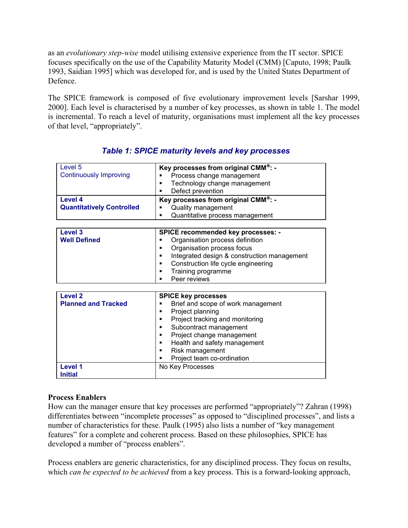as an *evolutionary step-wise* model utilising extensive experience from the IT sector. SPICE focuses specifically on the use of the Capability Maturity Model (CMM) [Caputo, 1998; Paulk 1993, Saidian 1995] which was developed for, and is used by the United States Department of Defence.

The SPICE framework is composed of five evolutionary improvement levels [Sarshar 1999, 2000]. Each level is characterised by a number of key processes, as shown in table 1. The model is incremental. To reach a level of maturity, organisations must implement all the key processes of that level, "appropriately".

| Level <sub>5</sub>               | Key processes from original CMM®: -              |
|----------------------------------|--------------------------------------------------|
| <b>Continuously Improving</b>    | Process change management                        |
|                                  | Technology change management                     |
|                                  | Defect prevention                                |
| Level 4                          | Key processes from original CMM <sup>®</sup> : - |
| <b>Quantitatively Controlled</b> | Quality management                               |
|                                  | Quantitative process management<br>п             |
|                                  |                                                  |
| Level 3                          | <b>SPICE recommended key processes: -</b>        |
| <b>Well Defined</b>              | Organisation process definition                  |
|                                  | Organisation process focus<br>▪                  |
|                                  | Integrated design & construction management      |
|                                  | Construction life cycle engineering              |
|                                  | Training programme<br>п                          |
|                                  | Peer reviews                                     |
|                                  |                                                  |
| Level <sub>2</sub>               | <b>SPICE key processes</b>                       |
| <b>Planned and Tracked</b>       | Brief and scope of work management<br>п          |
|                                  | Project planning<br>п                            |
|                                  | Project tracking and monitoring                  |
|                                  | Subcontract management<br>٠                      |
|                                  | Project change management<br>٠                   |
|                                  | Health and safety management<br>п                |
|                                  | Risk management<br>٠                             |
|                                  | Project team co-ordination                       |
| <b>Level 1</b>                   | No Key Processes                                 |
| <b>Initial</b>                   |                                                  |
|                                  |                                                  |

# *Table 1: SPICE maturity levels and key processes*

## **Process Enablers**

How can the manager ensure that key processes are performed "appropriately"? Zahran (1998) differentiates between "incomplete processes" as opposed to "disciplined processes", and lists a number of characteristics for these. Paulk (1995) also lists a number of "key management features" for a complete and coherent process. Based on these philosophies, SPICE has developed a number of "process enablers".

Process enablers are generic characteristics, for any disciplined process. They focus on results, which *can be expected to be achieved* from a key process. This is a forward-looking approach,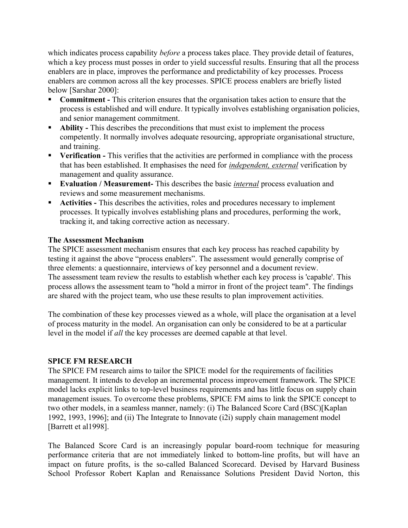which indicates process capability *before* a process takes place. They provide detail of features, which a key process must posses in order to yield successful results. Ensuring that all the process enablers are in place, improves the performance and predictability of key processes. Process enablers are common across all the key processes. SPICE process enablers are briefly listed below [Sarshar 2000]:

- **Commitment -** This criterion ensures that the organisation takes action to ensure that the process is established and will endure. It typically involves establishing organisation policies, and senior management commitment.
- **Ability** This describes the preconditions that must exist to implement the process competently. It normally involves adequate resourcing, appropriate organisational structure, and training.
- **Verification -** This verifies that the activities are performed in compliance with the process that has been established. It emphasises the need for *independent, external* verification by management and quality assurance.
- **Evaluation / Measurement-** This describes the basic *internal* process evaluation and reviews and some measurement mechanisms.
- **Activities This describes the activities, roles and procedures necessary to implement** processes. It typically involves establishing plans and procedures, performing the work, tracking it, and taking corrective action as necessary.

#### **The Assessment Mechanism**

The SPICE assessment mechanism ensures that each key process has reached capability by testing it against the above "process enablers". The assessment would generally comprise of three elements: a questionnaire, interviews of key personnel and a document review. The assessment team review the results to establish whether each key process is 'capable'. This process allows the assessment team to "hold a mirror in front of the project team". The findings are shared with the project team, who use these results to plan improvement activities.

The combination of these key processes viewed as a whole, will place the organisation at a level of process maturity in the model. An organisation can only be considered to be at a particular level in the model if *all* the key processes are deemed capable at that level.

## **SPICE FM RESEARCH**

The SPICE FM research aims to tailor the SPICE model for the requirements of facilities management. It intends to develop an incremental process improvement framework. The SPICE model lacks explicit links to top-level business requirements and has little focus on supply chain management issues. To overcome these problems, SPICE FM aims to link the SPICE concept to two other models, in a seamless manner, namely: (i) The Balanced Score Card (BSC)[Kaplan 1992, 1993, 1996]; and (ii) The Integrate to Innovate (i2i) supply chain management model [Barrett et al1998].

The Balanced Score Card is an increasingly popular board-room technique for measuring performance criteria that are not immediately linked to bottom-line profits, but will have an impact on future profits, is the so-called Balanced Scorecard. Devised by Harvard Business School Professor Robert Kaplan and Renaissance Solutions President David Norton, this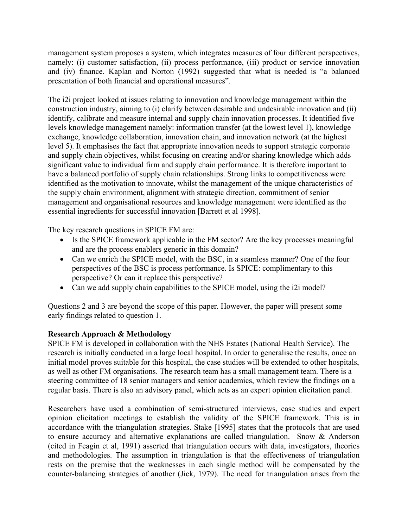management system proposes a system, which integrates measures of four different perspectives, namely: (i) customer satisfaction, (ii) process performance, (iii) product or service innovation and (iv) finance. Kaplan and Norton (1992) suggested that what is needed is "a balanced presentation of both financial and operational measures".

The i2i project looked at issues relating to innovation and knowledge management within the construction industry, aiming to (i) clarify between desirable and undesirable innovation and (ii) identify, calibrate and measure internal and supply chain innovation processes. It identified five levels knowledge management namely: information transfer (at the lowest level 1), knowledge exchange, knowledge collaboration, innovation chain, and innovation network (at the highest level 5). It emphasises the fact that appropriate innovation needs to support strategic corporate and supply chain objectives, whilst focusing on creating and/or sharing knowledge which adds significant value to individual firm and supply chain performance. It is therefore important to have a balanced portfolio of supply chain relationships. Strong links to competitiveness were identified as the motivation to innovate, whilst the management of the unique characteristics of the supply chain environment, alignment with strategic direction, commitment of senior management and organisational resources and knowledge management were identified as the essential ingredients for successful innovation [Barrett et al 1998].

The key research questions in SPICE FM are:

- Is the SPICE framework applicable in the FM sector? Are the key processes meaningful and are the process enablers generic in this domain?
- Can we enrich the SPICE model, with the BSC, in a seamless manner? One of the four perspectives of the BSC is process performance. Is SPICE: complimentary to this perspective? Or can it replace this perspective?
- Can we add supply chain capabilities to the SPICE model, using the i2i model?

Questions 2 and 3 are beyond the scope of this paper. However, the paper will present some early findings related to question 1.

## **Research Approach & Methodology**

SPICE FM is developed in collaboration with the NHS Estates (National Health Service). The research is initially conducted in a large local hospital. In order to generalise the results, once an initial model proves suitable for this hospital, the case studies will be extended to other hospitals, as well as other FM organisations. The research team has a small management team. There is a steering committee of 18 senior managers and senior academics, which review the findings on a regular basis. There is also an advisory panel, which acts as an expert opinion elicitation panel.

Researchers have used a combination of semi-structured interviews, case studies and expert opinion elicitation meetings to establish the validity of the SPICE framework. This is in accordance with the triangulation strategies. Stake [1995] states that the protocols that are used to ensure accuracy and alternative explanations are called triangulation. Snow & Anderson (cited in Feagin et al, 1991) asserted that triangulation occurs with data, investigators, theories and methodologies. The assumption in triangulation is that the effectiveness of triangulation rests on the premise that the weaknesses in each single method will be compensated by the counter-balancing strategies of another (Jick, 1979). The need for triangulation arises from the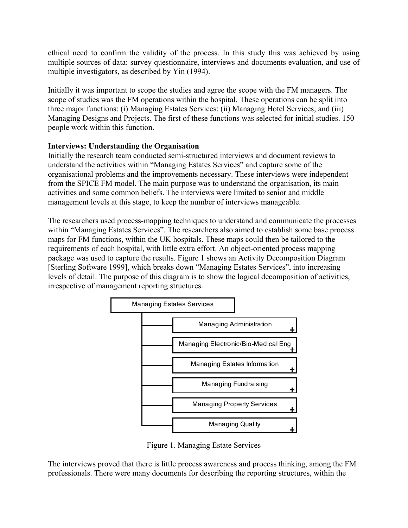ethical need to confirm the validity of the process. In this study this was achieved by using multiple sources of data: survey questionnaire, interviews and documents evaluation, and use of multiple investigators, as described by Yin (1994).

Initially it was important to scope the studies and agree the scope with the FM managers. The scope of studies was the FM operations within the hospital. These operations can be split into three major functions: (i) Managing Estates Services; (ii) Managing Hotel Services; and (iii) people work within this function. Managing Designs and Projects. The first of these functions was selected for initial studies. 150

## **Interviews: Understanding the Organisation**

Initially the research team conducted semi-structured interviews and document reviews to understand the activities within "Managing Estates Services" and capture some of the organisational problems and the improvements necessary. These interviews were independent from the SPICE FM model. The main purpose was to understand the organisation, its main activities and some common beliefs. The interviews were limited to senior and middle management levels at this stage, to keep the number of interviews manageable.

The researchers used process-mapping techniques to understand and communicate the processes within "Managing Estates Services". The researchers also aimed to establish some base process maps for FM functions, within the UK hospitals. These maps could then be tailored to the requirements of each hospital, with little extra effort. An object-oriented process mapping package was used to capture the results. Figure 1 shows an Activity Decomposition Diagram [Sterling Software 1999], which breaks down "Managing Estates Services", into increasing levels of detail. The purpose of this diagram is to show the logical decomposition of activities, irrespective of management reporting structures.



Figure 1. Managing Estate Services

The interviews proved that there is little process awareness and process thinking, among the FM professionals. There were many documents for describing the reporting structures, within the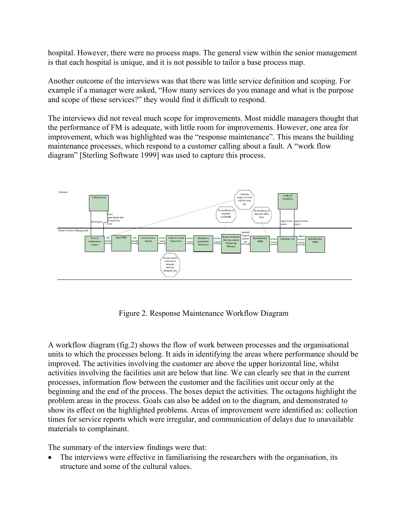hospital. However, there were no process maps. The general view within the senior management is that each hospital is unique, and it is not possible to tailor a base process map.

Another outcome of the interviews was that there was little service definition and scoping. For example if a manager were asked, "How many services do you manage and what is the purpose and scope of these services?" they would find it difficult to respond.

The interviews did not reveal much scope for improvements. Most middle managers thought that the performance of FM is adequate, with little room for improvements. However, one area for improvement, which was highlighted was the "response maintenance". This means the building maintenance processes, which respond to a customer calling about a fault. A "work flow diagram" [Sterling Software 1999] was used to capture this process.



Figure 2. Response Maintenance Workflow Diagram

A workflow diagram (fig.2) shows the flow of work between processes and the organisational units to which the processes belong. It aids in identifying the areas where performance should be improved. The activities involving the customer are above the upper horizontal line, whilst activities involving the facilities unit are below that line. We can clearly see that in the current processes, information flow between the customer and the facilities unit occur only at the beginning and the end of the process. The boxes depict the activities. The octagons highlight the problem areas in the process. Goals can also be added on to the diagram, and demonstrated to show its effect on the highlighted problems. Areas of improvement were identified as: collection times for service reports which were irregular, and communication of delays due to unavailable materials to complainant.

The summary of the interview findings were that:

• The interviews were effective in familiarising the researchers with the organisation, its structure and some of the cultural values.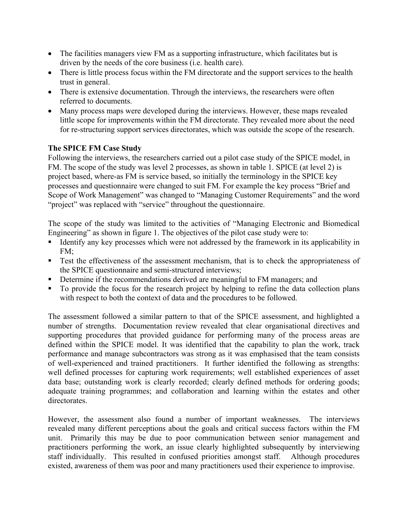- The facilities managers view FM as a supporting infrastructure, which facilitates but is driven by the needs of the core business (i.e. health care).
- There is little process focus within the FM directorate and the support services to the health trust in general.
- There is extensive documentation. Through the interviews, the researchers were often referred to documents.
- Many process maps were developed during the interviews. However, these maps revealed little scope for improvements within the FM directorate. They revealed more about the need for re-structuring support services directorates, which was outside the scope of the research.

# **The SPICE FM Case Study**

Following the interviews, the researchers carried out a pilot case study of the SPICE model, in FM. The scope of the study was level 2 processes, as shown in table 1. SPICE (at level 2) is project based, where-as FM is service based, so initially the terminology in the SPICE key processes and questionnaire were changed to suit FM. For example the key process "Brief and Scope of Work Management" was changed to "Managing Customer Requirements" and the word "project" was replaced with "service" throughout the questionnaire.

The scope of the study was limited to the activities of "Managing Electronic and Biomedical Engineering" as shown in figure 1. The objectives of the pilot case study were to:

- Identify any key processes which were not addressed by the framework in its applicability in FM;
- Test the effectiveness of the assessment mechanism, that is to check the appropriateness of the SPICE questionnaire and semi-structured interviews;
- Determine if the recommendations derived are meaningful to FM managers; and
- To provide the focus for the research project by helping to refine the data collection plans with respect to both the context of data and the procedures to be followed.

The assessment followed a similar pattern to that of the SPICE assessment, and highlighted a number of strengths. Documentation review revealed that clear organisational directives and supporting procedures that provided guidance for performing many of the process areas are defined within the SPICE model. It was identified that the capability to plan the work, track performance and manage subcontractors was strong as it was emphasised that the team consists of well-experienced and trained practitioners. It further identified the following as strengths: well defined processes for capturing work requirements; well established experiences of asset data base; outstanding work is clearly recorded; clearly defined methods for ordering goods; adequate training programmes; and collaboration and learning within the estates and other directorates.

However, the assessment also found a number of important weaknesses. The interviews revealed many different perceptions about the goals and critical success factors within the FM unit. Primarily this may be due to poor communication between senior management and practitioners performing the work, an issue clearly highlighted subsequently by interviewing staff individually. This resulted in confused priorities amongst staff. Although procedures existed, awareness of them was poor and many practitioners used their experience to improvise.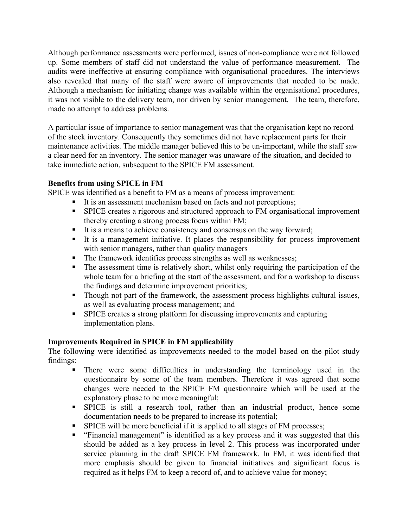Although performance assessments were performed, issues of non-compliance were not followed up. Some members of staff did not understand the value of performance measurement. The audits were ineffective at ensuring compliance with organisational procedures. The interviews also revealed that many of the staff were aware of improvements that needed to be made. Although a mechanism for initiating change was available within the organisational procedures, it was not visible to the delivery team, nor driven by senior management. The team, therefore, made no attempt to address problems.

A particular issue of importance to senior management was that the organisation kept no record of the stock inventory. Consequently they sometimes did not have replacement parts for their maintenance activities. The middle manager believed this to be un-important, while the staff saw a clear need for an inventory. The senior manager was unaware of the situation, and decided to take immediate action, subsequent to the SPICE FM assessment.

# **Benefits from using SPICE in FM**

SPICE was identified as a benefit to FM as a means of process improvement:

- It is an assessment mechanism based on facts and not perceptions;
- SPICE creates a rigorous and structured approach to FM organisational improvement thereby creating a strong process focus within FM;
- It is a means to achieve consistency and consensus on the way forward;
- It is a management initiative. It places the responsibility for process improvement with senior managers, rather than quality managers
- The framework identifies process strengths as well as weaknesses;
- The assessment time is relatively short, whilst only requiring the participation of the whole team for a briefing at the start of the assessment, and for a workshop to discuss the findings and determine improvement priorities;
- Though not part of the framework, the assessment process highlights cultural issues, as well as evaluating process management; and
- SPICE creates a strong platform for discussing improvements and capturing implementation plans.

## **Improvements Required in SPICE in FM applicability**

The following were identified as improvements needed to the model based on the pilot study findings:

- There were some difficulties in understanding the terminology used in the questionnaire by some of the team members. Therefore it was agreed that some changes were needed to the SPICE FM questionnaire which will be used at the explanatory phase to be more meaningful;
- SPICE is still a research tool, rather than an industrial product, hence some documentation needs to be prepared to increase its potential;
- SPICE will be more beneficial if it is applied to all stages of FM processes;
- "Financial management" is identified as a key process and it was suggested that this should be added as a key process in level 2. This process was incorporated under service planning in the draft SPICE FM framework. In FM, it was identified that more emphasis should be given to financial initiatives and significant focus is required as it helps FM to keep a record of, and to achieve value for money;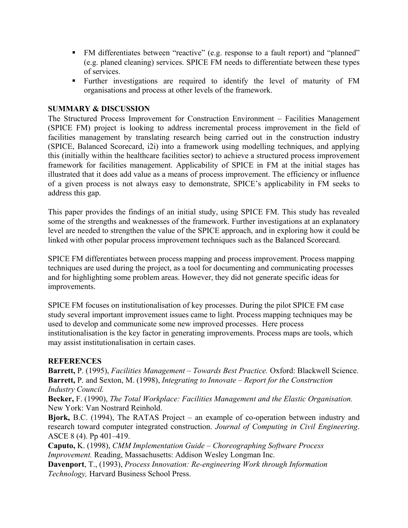- FM differentiates between "reactive" (e.g. response to a fault report) and "planned" (e.g. planed cleaning) services. SPICE FM needs to differentiate between these types of services.
- Further investigations are required to identify the level of maturity of FM organisations and process at other levels of the framework.

#### **SUMMARY & DISCUSSION**

The Structured Process Improvement for Construction Environment – Facilities Management (SPICE FM) project is looking to address incremental process improvement in the field of facilities management by translating research being carried out in the construction industry (SPICE, Balanced Scorecard, i2i) into a framework using modelling techniques, and applying this (initially within the healthcare facilities sector) to achieve a structured process improvement framework for facilities management. Applicability of SPICE in FM at the initial stages has illustrated that it does add value as a means of process improvement. The efficiency or influence of a given process is not always easy to demonstrate, SPICE's applicability in FM seeks to address this gap.

This paper provides the findings of an initial study, using SPICE FM. This study has revealed some of the strengths and weaknesses of the framework. Further investigations at an explanatory level are needed to strengthen the value of the SPICE approach, and in exploring how it could be linked with other popular process improvement techniques such as the Balanced Scorecard.

SPICE FM differentiates between process mapping and process improvement. Process mapping techniques are used during the project, as a tool for documenting and communicating processes and for highlighting some problem areas. However, they did not generate specific ideas for improvements.

SPICE FM focuses on institutionalisation of key processes. During the pilot SPICE FM case study several important improvement issues came to light. Process mapping techniques may be used to develop and communicate some new improved processes. Here process institutionalisation is the key factor in generating improvements. Process maps are tools, which may assist institutionalisation in certain cases.

#### **REFERENCES**

**Barrett,** P. (1995), *Facilities Management – Towards Best Practice.* Oxford: Blackwell Science. **Barrett,** P. and Sexton, M. (1998), *Integrating to Innovate – Report for the Construction Industry Council.* 

**Becker,** F. (1990), *The Total Workplace: Facilities Management and the Elastic Organisation.* New York: Van Nostrard Reinhold.

**Bjork,** B.C. (1994), The RATAS Project – an example of co-operation between industry and research toward computer integrated construction. *Journal of Computing in Civil Engineering*. ASCE 8 (4). Pp 401–419.

**Caputo,** K. (1998), *CMM Implementation Guide – Choreographing Software Process Improvement.* Reading, Massachusetts: Addison Wesley Longman Inc.

**Davenport**, T., (1993), *Process Innovation: Re-engineering Work through Information Technology,* Harvard Business School Press.